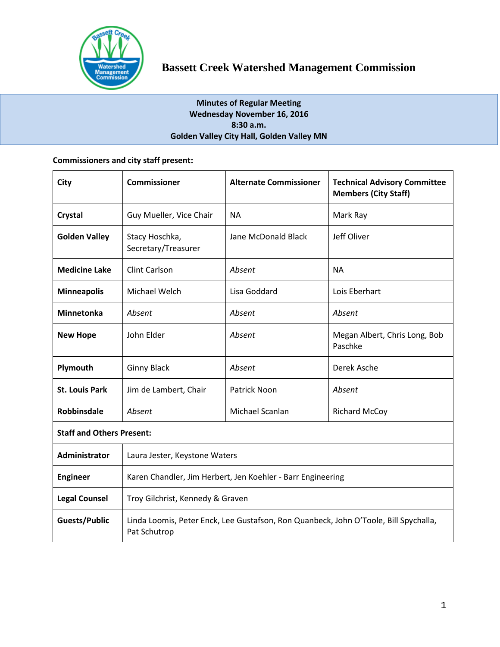

# **Bassett Creek Watershed Management Commission**

# **Minutes of Regular Meeting Wednesday November 16, 2016 8:30 a.m. Golden Valley City Hall, Golden Valley MN**

# **Commissioners and city staff present:**

| City                             | <b>Commissioner</b>                                                                                  | <b>Alternate Commissioner</b> | <b>Technical Advisory Committee</b><br><b>Members (City Staff)</b> |  |
|----------------------------------|------------------------------------------------------------------------------------------------------|-------------------------------|--------------------------------------------------------------------|--|
| Crystal                          | Guy Mueller, Vice Chair                                                                              | <b>NA</b>                     | Mark Ray                                                           |  |
| <b>Golden Valley</b>             | Stacy Hoschka,<br>Secretary/Treasurer                                                                | Jane McDonald Black           | Jeff Oliver                                                        |  |
| <b>Medicine Lake</b>             | <b>Clint Carlson</b>                                                                                 | Absent                        | <b>NA</b>                                                          |  |
| <b>Minneapolis</b>               | Michael Welch                                                                                        | Lisa Goddard                  | Lois Eberhart                                                      |  |
| Minnetonka                       | Absent                                                                                               | Absent                        | Absent                                                             |  |
| <b>New Hope</b>                  | John Elder                                                                                           | Absent                        | Megan Albert, Chris Long, Bob<br>Paschke                           |  |
| Plymouth                         | <b>Ginny Black</b>                                                                                   | Absent                        | Derek Asche                                                        |  |
| <b>St. Louis Park</b>            | Jim de Lambert, Chair                                                                                | Patrick Noon                  | Absent                                                             |  |
| <b>Robbinsdale</b>               | Absent                                                                                               | Michael Scanlan               | <b>Richard McCoy</b>                                               |  |
| <b>Staff and Others Present:</b> |                                                                                                      |                               |                                                                    |  |
| <b>Administrator</b>             | Laura Jester, Keystone Waters                                                                        |                               |                                                                    |  |
| <b>Engineer</b>                  | Karen Chandler, Jim Herbert, Jen Koehler - Barr Engineering                                          |                               |                                                                    |  |
| <b>Legal Counsel</b>             | Troy Gilchrist, Kennedy & Graven                                                                     |                               |                                                                    |  |
| Guests/Public                    | Linda Loomis, Peter Enck, Lee Gustafson, Ron Quanbeck, John O'Toole, Bill Spychalla,<br>Pat Schutrop |                               |                                                                    |  |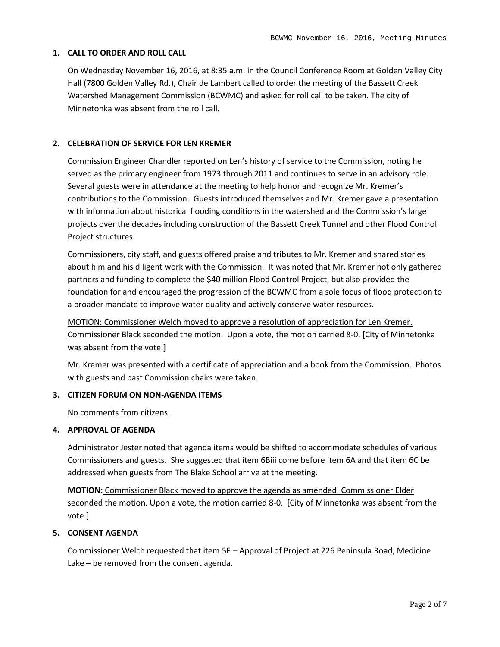#### **1. CALL TO ORDER AND ROLL CALL**

On Wednesday November 16, 2016, at 8:35 a.m. in the Council Conference Room at Golden Valley City Hall (7800 Golden Valley Rd.), Chair de Lambert called to order the meeting of the Bassett Creek Watershed Management Commission (BCWMC) and asked for roll call to be taken. The city of Minnetonka was absent from the roll call.

# **2. CELEBRATION OF SERVICE FOR LEN KREMER**

Commission Engineer Chandler reported on Len's history of service to the Commission, noting he served as the primary engineer from 1973 through 2011 and continues to serve in an advisory role. Several guests were in attendance at the meeting to help honor and recognize Mr. Kremer's contributions to the Commission. Guests introduced themselves and Mr. Kremer gave a presentation with information about historical flooding conditions in the watershed and the Commission's large projects over the decades including construction of the Bassett Creek Tunnel and other Flood Control Project structures.

Commissioners, city staff, and guests offered praise and tributes to Mr. Kremer and shared stories about him and his diligent work with the Commission. It was noted that Mr. Kremer not only gathered partners and funding to complete the \$40 million Flood Control Project, but also provided the foundation for and encouraged the progression of the BCWMC from a sole focus of flood protection to a broader mandate to improve water quality and actively conserve water resources.

MOTION: Commissioner Welch moved to approve a resolution of appreciation for Len Kremer. Commissioner Black seconded the motion. Upon a vote, the motion carried 8-0. [City of Minnetonka was absent from the vote.]

Mr. Kremer was presented with a certificate of appreciation and a book from the Commission. Photos with guests and past Commission chairs were taken.

#### **3. CITIZEN FORUM ON NON-AGENDA ITEMS**

No comments from citizens.

#### **4. APPROVAL OF AGENDA**

Administrator Jester noted that agenda items would be shifted to accommodate schedules of various Commissioners and guests. She suggested that item 6Biii come before item 6A and that item 6C be addressed when guests from The Blake School arrive at the meeting.

**MOTION:** Commissioner Black moved to approve the agenda as amended. Commissioner Elder seconded the motion. Upon a vote, the motion carried 8-0. [City of Minnetonka was absent from the vote.]

#### **5. CONSENT AGENDA**

Commissioner Welch requested that item 5E – Approval of Project at 226 Peninsula Road, Medicine Lake – be removed from the consent agenda.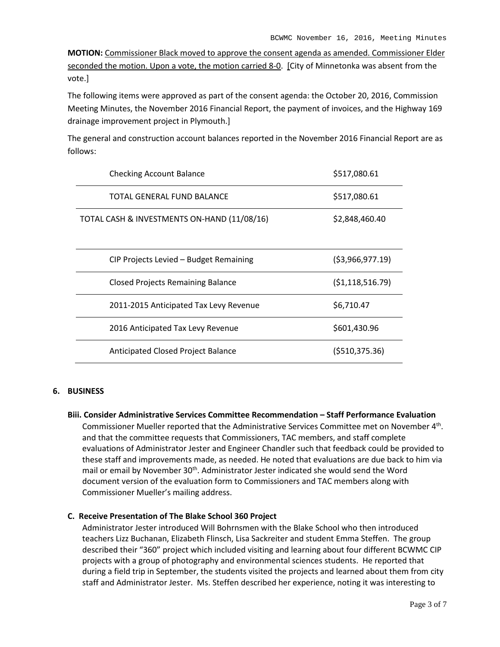**MOTION:** Commissioner Black moved to approve the consent agenda as amended. Commissioner Elder seconded the motion. Upon a vote, the motion carried 8-0. [City of Minnetonka was absent from the vote.]

The following items were approved as part of the consent agenda: the October 20, 2016, Commission Meeting Minutes, the November 2016 Financial Report, the payment of invoices, and the Highway 169 drainage improvement project in Plymouth.]

The general and construction account balances reported in the November 2016 Financial Report are as follows:

| <b>Checking Account Balance</b>             | \$517,080.61      |
|---------------------------------------------|-------------------|
| TOTAL GENERAL FUND BALANCE                  | \$517,080.61      |
| TOTAL CASH & INVESTMENTS ON-HAND (11/08/16) | \$2,848,460.40    |
| CIP Projects Levied - Budget Remaining      | ( \$3,966,977.19) |
| <b>Closed Projects Remaining Balance</b>    | ( \$1,118,516.79) |
| 2011-2015 Anticipated Tax Levy Revenue      | \$6,710.47        |
| 2016 Anticipated Tax Levy Revenue           | \$601,430.96      |
| <b>Anticipated Closed Project Balance</b>   | $($ \$510,375.36) |

# **6. BUSINESS**

#### **Biii. Consider Administrative Services Committee Recommendation – Staff Performance Evaluation**

Commissioner Mueller reported that the Administrative Services Committee met on November 4th. and that the committee requests that Commissioners, TAC members, and staff complete evaluations of Administrator Jester and Engineer Chandler such that feedback could be provided to these staff and improvements made, as needed. He noted that evaluations are due back to him via mail or email by November 30<sup>th</sup>. Administrator Jester indicated she would send the Word document version of the evaluation form to Commissioners and TAC members along with Commissioner Mueller's mailing address.

#### **C. Receive Presentation of The Blake School 360 Project**

Administrator Jester introduced Will Bohrnsmen with the Blake School who then introduced teachers Lizz Buchanan, Elizabeth Flinsch, Lisa Sackreiter and student Emma Steffen. The group described their "360" project which included visiting and learning about four different BCWMC CIP projects with a group of photography and environmental sciences students. He reported that during a field trip in September, the students visited the projects and learned about them from city staff and Administrator Jester. Ms. Steffen described her experience, noting it was interesting to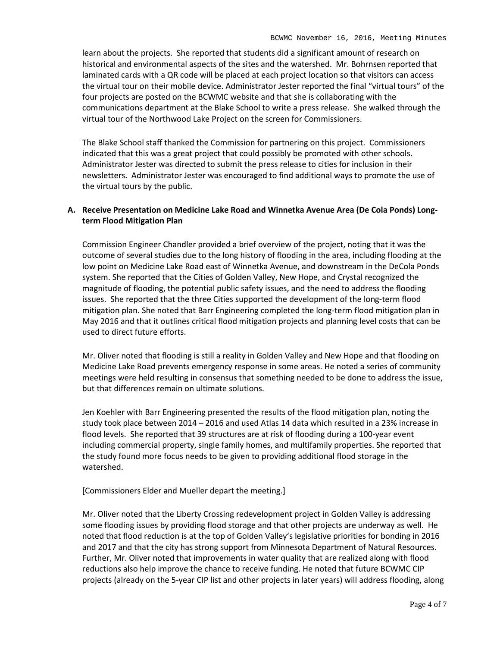learn about the projects. She reported that students did a significant amount of research on historical and environmental aspects of the sites and the watershed. Mr. Bohrnsen reported that laminated cards with a QR code will be placed at each project location so that visitors can access the virtual tour on their mobile device. Administrator Jester reported the final "virtual tours" of the four projects are posted on the BCWMC website and that she is collaborating with the communications department at the Blake School to write a press release. She walked through the virtual tour of the Northwood Lake Project on the screen for Commissioners.

The Blake School staff thanked the Commission for partnering on this project. Commissioners indicated that this was a great project that could possibly be promoted with other schools. Administrator Jester was directed to submit the press release to cities for inclusion in their newsletters. Administrator Jester was encouraged to find additional ways to promote the use of the virtual tours by the public.

# **A. Receive Presentation on Medicine Lake Road and Winnetka Avenue Area (De Cola Ponds) Longterm Flood Mitigation Plan**

Commission Engineer Chandler provided a brief overview of the project, noting that it was the outcome of several studies due to the long history of flooding in the area, including flooding at the low point on Medicine Lake Road east of Winnetka Avenue, and downstream in the DeCola Ponds system. She reported that the Cities of Golden Valley, New Hope, and Crystal recognized the magnitude of flooding, the potential public safety issues, and the need to address the flooding issues. She reported that the three Cities supported the development of the long-term flood mitigation plan. She noted that Barr Engineering completed the long-term flood mitigation plan in May 2016 and that it outlines critical flood mitigation projects and planning level costs that can be used to direct future efforts.

Mr. Oliver noted that flooding is still a reality in Golden Valley and New Hope and that flooding on Medicine Lake Road prevents emergency response in some areas. He noted a series of community meetings were held resulting in consensus that something needed to be done to address the issue, but that differences remain on ultimate solutions.

Jen Koehler with Barr Engineering presented the results of the flood mitigation plan, noting the study took place between 2014 – 2016 and used Atlas 14 data which resulted in a 23% increase in flood levels. She reported that 39 structures are at risk of flooding during a 100-year event including commercial property, single family homes, and multifamily properties. She reported that the study found more focus needs to be given to providing additional flood storage in the watershed.

#### [Commissioners Elder and Mueller depart the meeting.]

Mr. Oliver noted that the Liberty Crossing redevelopment project in Golden Valley is addressing some flooding issues by providing flood storage and that other projects are underway as well. He noted that flood reduction is at the top of Golden Valley's legislative priorities for bonding in 2016 and 2017 and that the city has strong support from Minnesota Department of Natural Resources. Further, Mr. Oliver noted that improvements in water quality that are realized along with flood reductions also help improve the chance to receive funding. He noted that future BCWMC CIP projects (already on the 5-year CIP list and other projects in later years) will address flooding, along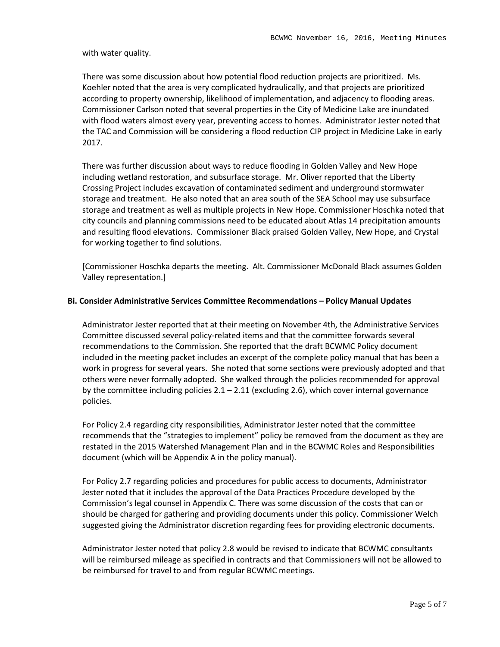with water quality.

There was some discussion about how potential flood reduction projects are prioritized. Ms. Koehler noted that the area is very complicated hydraulically, and that projects are prioritized according to property ownership, likelihood of implementation, and adjacency to flooding areas. Commissioner Carlson noted that several properties in the City of Medicine Lake are inundated with flood waters almost every year, preventing access to homes. Administrator Jester noted that the TAC and Commission will be considering a flood reduction CIP project in Medicine Lake in early 2017.

There was further discussion about ways to reduce flooding in Golden Valley and New Hope including wetland restoration, and subsurface storage. Mr. Oliver reported that the Liberty Crossing Project includes excavation of contaminated sediment and underground stormwater storage and treatment. He also noted that an area south of the SEA School may use subsurface storage and treatment as well as multiple projects in New Hope. Commissioner Hoschka noted that city councils and planning commissions need to be educated about Atlas 14 precipitation amounts and resulting flood elevations. Commissioner Black praised Golden Valley, New Hope, and Crystal for working together to find solutions.

[Commissioner Hoschka departs the meeting. Alt. Commissioner McDonald Black assumes Golden Valley representation.]

#### **Bi. Consider Administrative Services Committee Recommendations – Policy Manual Updates**

Administrator Jester reported that at their meeting on November 4th, the Administrative Services Committee discussed several policy-related items and that the committee forwards several recommendations to the Commission. She reported that the draft BCWMC Policy document included in the meeting packet includes an excerpt of the complete policy manual that has been a work in progress for several years. She noted that some sections were previously adopted and that others were never formally adopted. She walked through the policies recommended for approval by the committee including policies  $2.1 - 2.11$  (excluding 2.6), which cover internal governance policies.

For Policy 2.4 regarding city responsibilities, Administrator Jester noted that the committee recommends that the "strategies to implement" policy be removed from the document as they are restated in the 2015 Watershed Management Plan and in the BCWMC Roles and Responsibilities document (which will be Appendix A in the policy manual).

For Policy 2.7 regarding policies and procedures for public access to documents, Administrator Jester noted that it includes the approval of the Data Practices Procedure developed by the Commission's legal counsel in Appendix C. There was some discussion of the costs that can or should be charged for gathering and providing documents under this policy. Commissioner Welch suggested giving the Administrator discretion regarding fees for providing electronic documents.

Administrator Jester noted that policy 2.8 would be revised to indicate that BCWMC consultants will be reimbursed mileage as specified in contracts and that Commissioners will not be allowed to be reimbursed for travel to and from regular BCWMC meetings.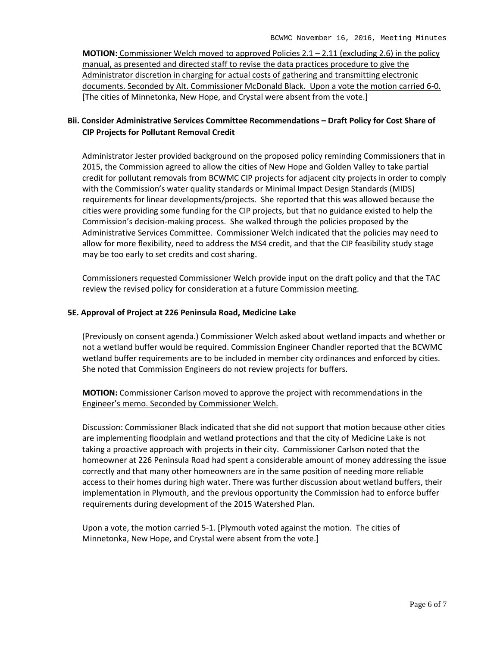**MOTION:** Commissioner Welch moved to approved Policies 2.1 – 2.11 (excluding 2.6) in the policy manual, as presented and directed staff to revise the data practices procedure to give the Administrator discretion in charging for actual costs of gathering and transmitting electronic documents. Seconded by Alt. Commissioner McDonald Black. Upon a vote the motion carried 6-0. [The cities of Minnetonka, New Hope, and Crystal were absent from the vote.]

# **Bii. Consider Administrative Services Committee Recommendations – Draft Policy for Cost Share of CIP Projects for Pollutant Removal Credit**

Administrator Jester provided background on the proposed policy reminding Commissioners that in 2015, the Commission agreed to allow the cities of New Hope and Golden Valley to take partial credit for pollutant removals from BCWMC CIP projects for adjacent city projects in order to comply with the Commission's water quality standards or Minimal Impact Design Standards (MIDS) requirements for linear developments/projects. She reported that this was allowed because the cities were providing some funding for the CIP projects, but that no guidance existed to help the Commission's decision-making process. She walked through the policies proposed by the Administrative Services Committee. Commissioner Welch indicated that the policies may need to allow for more flexibility, need to address the MS4 credit, and that the CIP feasibility study stage may be too early to set credits and cost sharing.

Commissioners requested Commissioner Welch provide input on the draft policy and that the TAC review the revised policy for consideration at a future Commission meeting.

#### **5E. Approval of Project at 226 Peninsula Road, Medicine Lake**

(Previously on consent agenda.) Commissioner Welch asked about wetland impacts and whether or not a wetland buffer would be required. Commission Engineer Chandler reported that the BCWMC wetland buffer requirements are to be included in member city ordinances and enforced by cities. She noted that Commission Engineers do not review projects for buffers.

# **MOTION:** Commissioner Carlson moved to approve the project with recommendations in the Engineer's memo. Seconded by Commissioner Welch.

Discussion: Commissioner Black indicated that she did not support that motion because other cities are implementing floodplain and wetland protections and that the city of Medicine Lake is not taking a proactive approach with projects in their city. Commissioner Carlson noted that the homeowner at 226 Peninsula Road had spent a considerable amount of money addressing the issue correctly and that many other homeowners are in the same position of needing more reliable access to their homes during high water. There was further discussion about wetland buffers, their implementation in Plymouth, and the previous opportunity the Commission had to enforce buffer requirements during development of the 2015 Watershed Plan.

Upon a vote, the motion carried 5-1. [Plymouth voted against the motion. The cities of Minnetonka, New Hope, and Crystal were absent from the vote.]